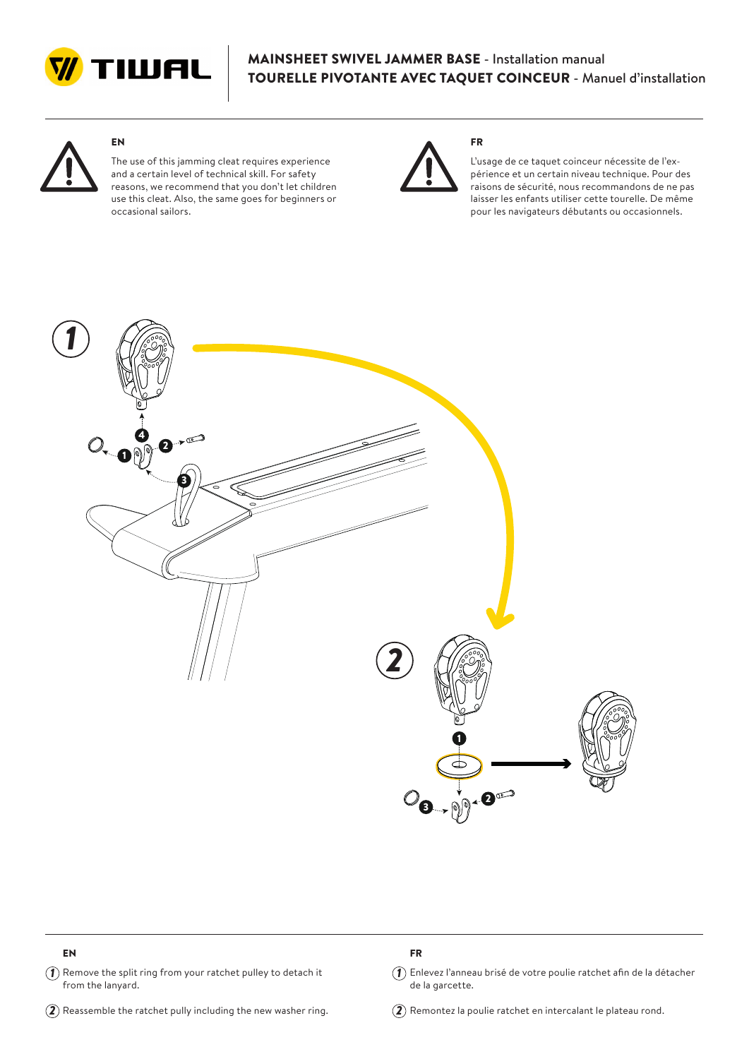

## MAINSHEET SWIVEL JAMMER BASE - Installation manual TOURELLE PIVOTANTE AVEC TAQUET COINCEUR - Manuel d'installation

FR



# EN

The use of this jamming cleat requires experience and a certain level of technical skill. For safety reasons, we recommend that you don't let children use this cleat. Also, the same goes for beginners or occasional sailors.



L'usage de ce taquet coinceur nécessite de l'expérience et un certain niveau technique. Pour des raisons de sécurité, nous recommandons de ne pas laisser les enfants utiliser cette tourelle. De même pour les navigateurs débutants ou occasionnels.



### EN

 $\widehat{\hbox{1}}$  Remove the split ring from your ratchet pulley to detach it  $\widehat{\hbox{1}}$ from the lanyard.

#### $\widehat{\mathbf{2}}$  Reassemble the ratchet pully including the new washer ring.  $\widehat{\mathbf{2}}$

### FR

 $\widehat{A}$ ) Enlevez l'anneau brisé de votre poulie ratchet afin de la détacher de la garcette.

 $\mathbf{Q}$  Remontez la poulie ratchet en intercalant le plateau rond.